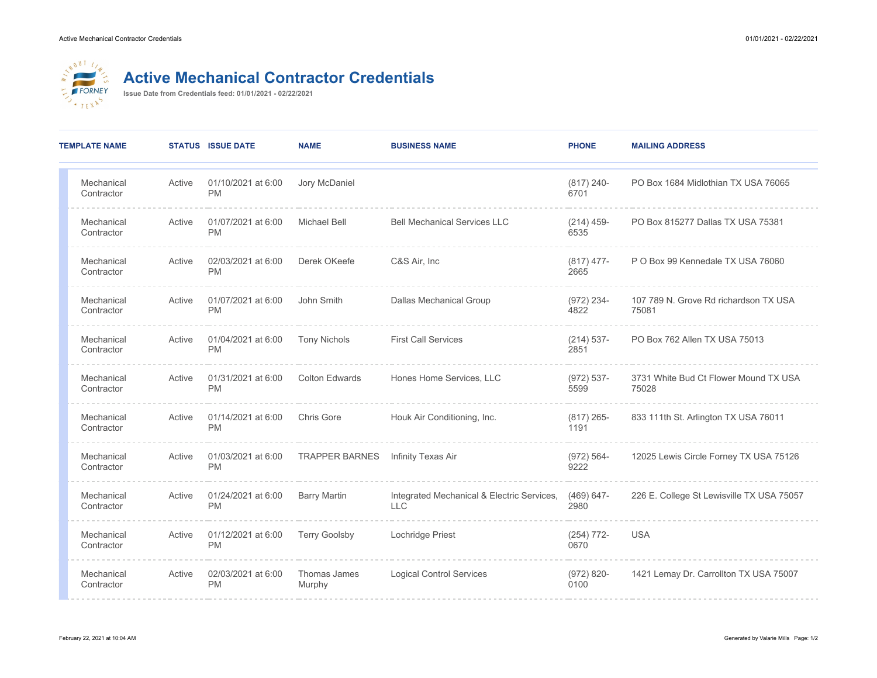

## **Active Mechanical Contractor Credentials**

**Issue Date from Credentials feed: 01/01/2021 - 02/22/2021**

| <b>TEMPLATE NAME</b>     |        | <b>STATUS ISSUE DATE</b>        | <b>NAME</b>            | <b>BUSINESS NAME</b>                                     | <b>PHONE</b>          | <b>MAILING ADDRESS</b>                         |
|--------------------------|--------|---------------------------------|------------------------|----------------------------------------------------------|-----------------------|------------------------------------------------|
| Mechanical<br>Contractor | Active | 01/10/2021 at 6:00<br><b>PM</b> | Jory McDaniel          |                                                          | $(817)$ 240-<br>6701  | PO Box 1684 Midlothian TX USA 76065            |
| Mechanical<br>Contractor | Active | 01/07/2021 at 6:00<br><b>PM</b> | <b>Michael Bell</b>    | <b>Bell Mechanical Services LLC</b>                      | $(214)$ 459-<br>6535  | PO Box 815277 Dallas TX USA 75381              |
| Mechanical<br>Contractor | Active | 02/03/2021 at 6:00<br><b>PM</b> | Derek OKeefe           | C&S Air, Inc                                             | $(817)$ 477-<br>2665  | P O Box 99 Kennedale TX USA 76060              |
| Mechanical<br>Contractor | Active | 01/07/2021 at 6:00<br><b>PM</b> | John Smith             | <b>Dallas Mechanical Group</b>                           | $(972)$ 234-<br>4822  | 107 789 N. Grove Rd richardson TX USA<br>75081 |
| Mechanical<br>Contractor | Active | 01/04/2021 at 6:00<br><b>PM</b> | <b>Tony Nichols</b>    | <b>First Call Services</b>                               | $(214) 537 -$<br>2851 | PO Box 762 Allen TX USA 75013                  |
| Mechanical<br>Contractor | Active | 01/31/2021 at 6:00<br><b>PM</b> | <b>Colton Edwards</b>  | Hones Home Services, LLC                                 | $(972) 537 -$<br>5599 | 3731 White Bud Ct Flower Mound TX USA<br>75028 |
| Mechanical<br>Contractor | Active | 01/14/2021 at 6:00<br><b>PM</b> | <b>Chris Gore</b>      | Houk Air Conditioning, Inc.                              | $(817)$ 265-<br>1191  | 833 111th St. Arlington TX USA 76011           |
| Mechanical<br>Contractor | Active | 01/03/2021 at 6:00<br><b>PM</b> | <b>TRAPPER BARNES</b>  | Infinity Texas Air                                       | $(972) 564 -$<br>9222 | 12025 Lewis Circle Forney TX USA 75126         |
| Mechanical<br>Contractor | Active | 01/24/2021 at 6:00<br><b>PM</b> | <b>Barry Martin</b>    | Integrated Mechanical & Electric Services,<br><b>LLC</b> | $(469) 647 -$<br>2980 | 226 E. College St Lewisville TX USA 75057      |
| Mechanical<br>Contractor | Active | 01/12/2021 at 6:00<br><b>PM</b> | <b>Terry Goolsby</b>   | Lochridge Priest                                         | $(254) 772 -$<br>0670 | <b>USA</b>                                     |
| Mechanical<br>Contractor | Active | 02/03/2021 at 6:00<br><b>PM</b> | Thomas James<br>Murphy | <b>Logical Control Services</b>                          | $(972) 820 -$<br>0100 | 1421 Lemay Dr. Carrollton TX USA 75007         |